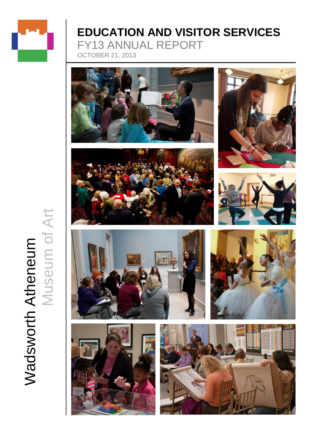

# **EDUCATION AND VISITOR SERVICES** FY13 ANNUAL REPORT OCTOBER 21, 2013















Wadsworth Atheneum<br>Museum of Art Museum of ArtWadsworth Atheneum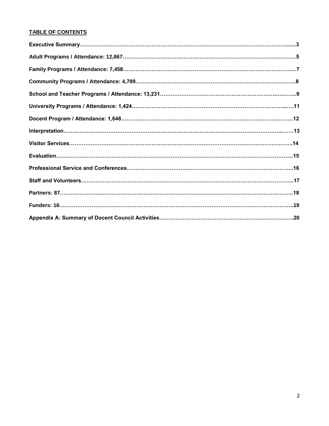# **TABLE OF CONTENTS**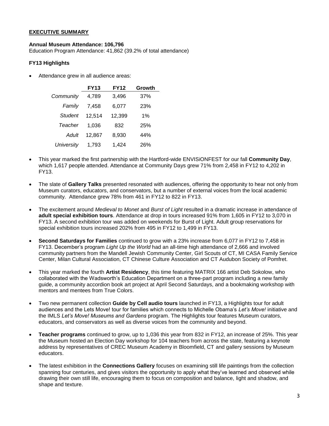## **EXECUTIVE SUMMARY**

## **Annual Museum Attendance: 106,796**

Education Program Attendance: 41,862 (39.2% of total attendance)

## **FY13 Highlights**

Attendance grew in all audience areas:

|                   | <b>FY13</b> | <b>FY12</b> | Growth |
|-------------------|-------------|-------------|--------|
| Community         | 4,789       | 3,496       | 37%    |
| Family            | 7.458       | 6,077       | 23%    |
| Student           | 12,514      | 12,399      | 1%     |
| Teacher           | 1,036       | 832         | 25%    |
| Adult             | 12,867      | 8,930       | 44%    |
| <b>University</b> | 1,793       | 1.424       | 26%    |

- This year marked the first partnership with the Hartford-wide ENVISiONFEST for our fall **Community Day**, which 1,617 people attended. Attendance at Community Days grew 71% from 2,458 in FY12 to 4,202 in FY13.
- The slate of **Gallery Talks** presented resonated with audiences, offering the opportunity to hear not only from Museum curators, educators, and conservators, but a number of external voices from the local academic community. Attendance grew 78% from 461 in FY12 to 822 in FY13.
- The excitement around *Medieval to Monet* and *Burst of Light* resulted in a dramatic increase in attendance of **adult special exhibition tours**. Attendance at drop in tours increased 91% from 1,605 in FY12 to 3,070 in FY13. A second exhibition tour was added on weekends for Burst of Light. Adult group reservations for special exhibition tours increased 202% from 495 in FY12 to 1,499 in FY13.
- **Second Saturdays for Families** continued to grow with a 23% increase from 6,077 in FY12 to 7,458 in FY13. December's program *Light Up the World* had an all-time high attendance of 2,666 and involved community partners from the Mandell Jewish Community Center, Girl Scouts of CT, MI CASA Family Service Center, Milan Cultural Association, CT Chinese Culture Association and CT Audubon Society of Pomfret.
- This year marked the fourth **Artist Residency**, this time featuring MATRIX 166 artist Deb Sokolow, who collaborated with the Wadsworth's Education Department on a three-part program including a new family guide, a community accordion book art project at April Second Saturdays, and a bookmaking workshop with mentors and mentees from True Colors.
- Two new permanent collection **Guide by Cell audio tours** launched in FY13, a Highlights tour for adult audiences and the Lets Move! tour for families which connects to Michelle Obama's *Let's Move!* initiative and the IMLS *Let's Move! Museums and Gardens* program. The Highlights tour features Museum curators, educators, and conservators as well as diverse voices from the community and beyond.
- **Teacher programs** continued to grow, up to 1,036 this year from 832 in FY12, an increase of 25%. This year the Museum hosted an Election Day workshop for 104 teachers from across the state, featuring a keynote address by representatives of CREC Museum Academy in Bloomfield, CT and gallery sessions by Museum educators.
- The latest exhibition in the **Connections Gallery** focuses on examining still life paintings from the collection spanning four centuries, and gives visitors the opportunity to apply what they've learned and observed while drawing their own still life, encouraging them to focus on composition and balance, light and shadow, and shape and texture.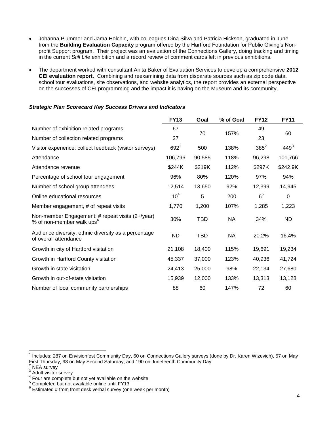- Johanna Plummer and Jama Holchin, with colleagues Dina Silva and Patricia Hickson, graduated in June from the **Building Evaluation Capacity** program offered by the Hartford Foundation for Public Giving's Nonprofit Support program. Their project was an evaluation of the Connections Gallery, doing tracking and timing in the current *Still Life* exhibition and a record review of comment cards left in previous exhibitions.
- The department worked with consultant Anita Baker of Evaluation Services to develop a comprehensive **2012 CEI evaluation report**. Combining and reexamining data from disparate sources such as zip code data, school tour evaluations, site observations, and website analytics, the report provides an external perspective on the successes of CEI programming and the impact it is having on the Museum and its community.

## *Strategic Plan Scorecard Key Success Drivers and Indicators*

|                                                                                           | <b>FY13</b>     | Goal       | % of Goal | <b>FY12</b>    | <b>FY11</b> |
|-------------------------------------------------------------------------------------------|-----------------|------------|-----------|----------------|-------------|
| Number of exhibition related programs                                                     | 67              | 70         | 157%      | 49             | 60          |
| Number of collection related programs                                                     | 27              |            |           | 23             |             |
| Visitor experience: collect feedback (visitor surveys)                                    | $692^{1}$       | 500        | 138%      | $385^2$        | $449^{3}$   |
| Attendance                                                                                | 106,796         | 90,585     | 118%      | 96,298         | 101,766     |
| Attendance revenue                                                                        | \$244K          | \$219K     | 112%      | \$297K         | \$242.9K    |
| Percentage of school tour engagement                                                      | 96%             | 80%        | 120%      | 97%            | 94%         |
| Number of school group attendees                                                          | 12,514          | 13,650     | 92%       | 12,399         | 14,945      |
| Online educational resources                                                              | 10 <sup>4</sup> | 5          | 200       | 6 <sup>5</sup> | 0           |
| Member engagement, # of repeat visits                                                     | 1,770           | 1,200      | 107%      | 1,285          | 1,223       |
| Non-member Engagement: # repeat visits (2+/year)<br>% of non-member walk ups <sup>6</sup> | 30%             | <b>TBD</b> | <b>NA</b> | 34%            | ND          |
| Audience diversity: ethnic diversity as a percentage<br>of overall attendance             | <b>ND</b>       | <b>TBD</b> | <b>NA</b> | 20.2%          | 16.4%       |
| Growth in city of Hartford visitation                                                     | 21,108          | 18,400     | 115%      | 19,691         | 19,234      |
| Growth in Hartford County visitation                                                      | 45,337          | 37,000     | 123%      | 40,936         | 41,724      |
| Growth in state visitation                                                                | 24,413          | 25,000     | 98%       | 22,134         | 27,680      |
| Growth in out-of-state visitation                                                         | 15,939          | 12,000     | 133%      | 13,313         | 13,128      |
| Number of local community partnerships                                                    | 88              | 60         | 147%      | 72             | 60          |

 $\overline{\phantom{a}}$ 

<sup>1</sup> Includes: 287 on Envisionfest Community Day, 60 on Connections Gallery surveys (done by Dr. Karen Wizevich), 57 on May First Thursday, 98 on May Second Saturday, and 190 on Juneteenth Community Day

NEA survey

 $3 \overline{)}$  Adult visitor survey

Four are complete but not yet available on the website

<sup>5</sup> Completed but not available online until FY13

 $6$  Estimated # from front desk verbal survey (one week per month)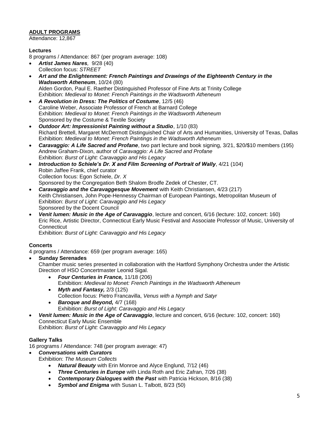# **ADULT PROGRAMS**

Attendance: 12,867

# **Lectures**

8 programs / Attendance: 867 (per program average: 108)

- *Artist James Nares,* 9/28 (40) Collection focus: *STREET*
- *Art and the Enlightenment: French Paintings and Drawings of the Eighteenth Century in the Wadsworth Atheneum*, 10/24 (80) Alden Gordon, Paul E. Raether Distinguished Professor of Fine Arts at Trinity College Exhibition: *Medieval to Monet: French Paintings in the Wadsworth Atheneum*
- *A Revolution in Dress: The Politics of Costume*, 12/5 (46) Caroline Weber, Associate Professor of French at Barnard College Exhibition: *Medieval to Monet: French Paintings in the Wadsworth Atheneum* Sponsored by the Costume & Textile Society
- *Outdoor Art: Impressionist Painting without a Studio*, 1/10 (83) Richard Brettell, Margaret McDermott Distinguished Chair of Arts and Humanities, University of Texas, Dallas Exhibition: *Medieval to Monet: French Paintings in the Wadsworth Atheneum*
- *Caravaggio: A Life Sacred and Profane*, two part lecture and book signing, 3/21, \$20/\$10 members (195) Andrew Graham-Dixon, author of *Caravaggio: A Life Sacred and Profane* Exhibition: *Burst of Light: Caravaggio and His Legacy*
- *Introduction to Schiele's Dr. X and Film Screening of Portrait of Wally*, 4/21 (104) Robin Jaffee Frank, chief curator Collection focus: Egon Schiele, *Dr. X* Sponsored by the Congregation Beth Shalom Brodfe Zedek of Chester, CT.
- *Caravaggio and the Caravaggesque Movement* with Keith Christiansen, 4/23 (217) Keith Christiansen, John Pope-Hennessy Chairman of European Paintings, Metropolitan Museum of Exhibition: *Burst of Light: Caravaggio and His Legacy* Sponsored by the Docent Council
- *Venit lumen: Music in the Age of Caravaggio*, lecture and concert, 6/16 (lecture: 102, concert: 160) Eric Rice, Artistic Director, Connecticut Early Music Festival and Associate Professor of Music, University of **Connecticut**

Exhibition: *Burst of Light: Caravaggio and His Legacy*

# **Concerts**

4 programs / Attendance: 659 (per program average: 165)

**Sunday Serenades**

Chamber music series presented in collaboration with the Hartford Symphony Orchestra under the Artistic Direction of HSO Concertmaster Leonid Sigal.

- *Four Centuries in France,* 11/18 (206) Exhibition: *Medieval to Monet: French Paintings in the Wadsworth Atheneum*
- *Myth and Fantasy,* 2/3 (125) Collection focus: Pietro Francavilla, *Venus with a Nymph and Satyr*
- *Baroque and Beyond,* 4/7 (168) Exhibition: *Burst of Light: Caravaggio and His Legacy*
- *Venit lumen: Music in the Age of Caravaggio*, lecture and concert, 6/16 (lecture: 102, concert: 160) Connecticut Early Music Ensemble

Exhibition: *Burst of Light: Caravaggio and His Legacy*

# **Gallery Talks**

16 programs / Attendance: 748 (per program average: 47)

*Conversations with Curators*

Exhibition: *The Museum Collects*

- *Natural Beauty* with Erin Monroe and Alyce Englund, 7/12 (46)
- *Three Centuries in Europe* with Linda Roth and Eric Zafran, 7/26 (38)
- *Contemporary Dialogues with the Past* with Patricia Hickson, 8/16 (38)
- *Symbol and Enigma* with Susan L. Talbott, 8/23 (50)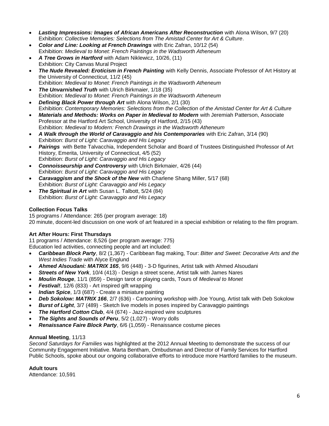- *Lasting Impressions: Images of African Americans After Reconstruction* with Alona Wilson, 9/7 (20) Exhibition: *Collective Memories: Selections from The Amistad Center for Art & Culture*.
- *Color and Line: Looking at French Drawings* with Eric Zafran, 10/12 (54) Exhibition: *Medieval to Monet: French Paintings in the Wadsworth Atheneum*
- *A Tree Grows in Hartford* with Adam Niklewicz, 10/26, (11) Exhibition: City [Canvas Mural Project](http://www.ct.gov/cct/cwp/view.asp?a=3933&q=494902)
- *The Nude Revealed: Eroticism in French Painting* with Kelly Dennis, Associate Professor of Art History at the University of Connecticut, 11/2 (45) Exhibition: *Medieval to Monet: French Paintings in the Wadsworth Atheneum*
- *The Unvarnished Truth* with Ulrich Birkmaier, 1/18 (35) Exhibition: *Medieval to Monet: French Paintings in the Wadsworth Atheneum*
- *Defining Black Power through Art* with Alona Wilson, 2/1 (30) Exhibition: *Contemporary Memories: Selections from the Collection of the Amistad Center for Art & Culture*
- *Materials and Methods: Works on Paper in Medieval to Modern* with Jeremiah Patterson, Associate Professor at the Hartford Art School, University of Hartford, 2/15 (43) Exhibition: *Medieval to Modern: French Drawings in the Wadsworth Atheneum*
- *A Walk through the World of Caravaggio and his Contemporaries* with Eric Zafran, 3/14 (90) Exhibition: *Burst of Light: Caravaggio and His Legacy*
- *Pairings* with Bette Talvacchia, Independent Scholar and Board of Trustees Distinguished Professor of Art History, Emerita, University of Connecticut, 4/5 (52) Exhibition: *Burst of Light: Caravaggio and His Legacy*
- *Connoisseurship and Controversy* with Ulrich Birkmaier, 4/26 (44) Exhibition: *Burst of Light: Caravaggio and His Legacy*
- *Caravaggism and the Shock of the New* with Charlene Shang Miller, 5/17 (68) Exhibition: *Burst of Light: Caravaggio and His Legacy*
- *The Spiritual in Art* with Susan L. Talbott, 5/24 (84) Exhibition: *Burst of Light: Caravaggio and His Legacy*

# **Collection Focus Talks**

15 programs / Attendance: 265 (per program average: 18) 20 minute, docent-led discussion on one work of art featured in a special exhibition or relating to the film program.

# **Art After Hours: First Thursdays**

11 programs / Attendance: 8,526 (per program average: 775) Education led activities, connecting people and art included:

- *Caribbean Block Party*, 8/2 (1,367) Caribbean flag making, Tour: *Bitter and Sweet: Decorative Arts and the West Indies Trade* with Alyce Englund
- *Ahmed Alsoudani: MATRIX 165*, 9/6 (448) 3-D figurines, Artist talk with Ahmed Alsoudani
- *Streets of New York*, 10/4 (413) Design a street scene, Artist talk with James Nares
- *Moulin Rouge*, 11/1 (859) Design tarot or playing cards, Tours of *Medieval to Monet*
- *Festival!*, 12/6 (833) Art inspired gift wrapping
- *Indian Spice*, 1/3 (687) Create a miniature painting
- *Deb Sokolow: MATRIX 166*, 2/7 (636) Cartooning workshop with Joe Young, Artist talk with Deb Sokolow
- *Burst of Light*, 3/7 (489) Sketch live models in poses inspired by Caravaggio paintings
- *The Hartford Cotton Club*, 4/4 (674) Jazz-inspired wire sculptures
- *The Sights and Sounds of Peru*, 5/2 (1,027) Worry dolls
- *Renaissance Faire Block Party*, 6/6 (1,059) Renaissance costume pieces

# **Annual Meeting**, 11/13

*Second Saturdays for Families* was highlighted at the 2012 Annual Meeting to demonstrate the success of our Community Engagement Initiative. Marta Bentham, Ombudsman and Director of Family Services for Hartford Public Schools, spoke about our ongoing collaborative efforts to introduce more Hartford families to the museum.

# **Adult tours**

Attendance: 10,591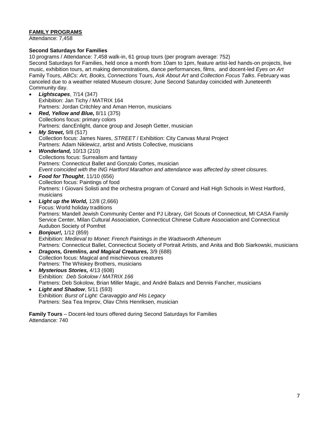# **FAMILY PROGRAMS**

Attendance: 7,458

# **Second Saturdays for Families**

10 programs / Attendance: 7,458 walk-in, 61 group tours (per program average: 752) Second Saturdays for Families, held once a month from 10am to 1pm, feature artist-led hands-on projects, live music, exhibition tours, art making demonstrations, dance performances, films, and docent-led *Eyes on Art* Family Tours, *ABCs: Art, Books, Connections* Tours, *Ask About Art* and *Collection Focus Talks*. February was canceled due to a weather related Museum closure; June Second Saturday coincided with Juneteenth Community day.

- *Lightscapes*, 7/14 (347) Exhibition: Jan Tichy / MATRIX 164 Partners: Jordan Critchley and Aman Herron, musicians
- *Red, Yellow and Blue,* 8/11 (375) Collections focus: primary colors Partners: dancEnlight, dance group and Joseph Getter, musician
- *My Street,* 9/8 (517) Collection focus: James Nares, *STREET* / Exhibition: [City Canvas Mural Project](http://www.ct.gov/cct/cwp/view.asp?a=3933&q=494902) Partners: Adam Niklewicz, artist and Artists Collective, musicians
- *Wonderland,* 10/13 (210) Collections focus: Surrealism and fantasy Partners: Connecticut Ballet and Gonzalo Cortes, musician *Event coincided with the ING Hartford Marathon and attendance was affected by street closures.*
- *Food for Thought*, 11/10 (656) Collection focus: Paintings of food Partners: I Giovani Solisti and the orchestra program of Conard and Hall High Schools in West Hartford, musicians
- *Light up the World,* 12/8 (2,666) Focus: World holiday traditions Partners: Mandell Jewish Community Center and PJ Library, Girl Scouts of Connecticut, MI CASA Family Service Center, Milan Cultural Association, Connecticut Chinese Culture Association and Connecticut Audubon Society of Pomfret
- *Bonjour!,* 1/12 (859) Exhibition: *Medieval to Monet: French Paintings in the Wadsworth Atheneum* Partners: Connecticut Ballet, Connecticut Society of Portrait Artists, and Anita and Bob Siarkowski, musicians
- *Dragons, Gremlins, and Magical Creatures,* 3/9 (688) Collection focus: Magical and mischievous creatures Partners: The Whiskey Brothers, musicians
- *Mysterious Stories,* 4/13 (608) Exhibition: *Deb Sokolow / MATRIX 166* Partners: Deb Sokolow, Brian Miller Magic, and André Balazs and Dennis Fancher, musicians
- *Light and Shadow*, 5/11 (593) Exhibition: *Burst of Light: Caravaggio and His Legacy* Partners: Sea Tea Improv, Olav Chris Henriksen, musician

**Family Tours** – Docent-led tours offered during Second Saturdays for Families Attendance: 740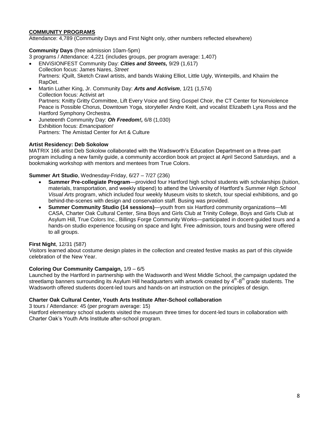## **COMMUNITY PROGRAMS**

Attendance: 4,789 (Community Days and First Night only, other numbers reflected elsewhere)

## **Community Days** (free admission 10am-5pm)

3 programs / Attendance: 4,221 (includes groups, per program average: 1,407)

- ENViSIONFEST Community Day: *Cities and Streets,* 9/29 (1,617) Collection focus: James Nares, *Street* Partners: iQuilt, Sketch Crawl artists, and bands Waking Elliot, Little Ugly, Winterpills, and Khaiim the RapOet.
- Martin Luther King, Jr. Community Day: *Arts and Activism*, 1/21 (1,574) Collection focus: Activist art Partners: Knitty Gritty Committee, Lift Every Voice and Sing Gospel Choir, the CT Center for Nonviolence Peace is Possible Chorus, Downtown Yoga, storyteller Andre Keitt, and vocalist Elizabeth Lyra Ross and the Hartford Symphony Orchestra.
- Juneteenth Community Day: *Oh Freedom!,* 6/8 (1,030) Exhibition focus: *Emancipation!* Partners: The Amistad Center for Art & Culture

## **Artist Residency: Deb Sokolow**

MATRIX 166 artist Deb Sokolow collaborated with the Wadsworth's Education Department on a three-part program including a new family guide, a community accordion book art project at April Second Saturdays, and a bookmaking workshop with mentors and mentees from True Colors.

## **Summer Art Studio**, Wednesday-Friday, 6/27 – 7/27 (236)

- **Summer Pre-collegiate Program**—provided four Hartford high school students with scholarships (tuition, materials, transportation, and weekly stipend) to attend the University of Hartford's *Summer High School Visual Arts* program, which included four weekly Museum visits to sketch, tour special exhibitions, and go behind-the-scenes with design and conservation staff. Busing was provided.
- **Summer Community Studio (14 sessions)**—youth from six Hartford community organizations—MI CASA, Charter Oak Cultural Center, Sina Boys and Girls Club at Trinity College, Boys and Girls Club at Asylum Hill, True Colors Inc., Billings Forge Community Works—participated in docent-guided tours and a hands-on studio experience focusing on space and light. Free admission, tours and busing were offered to all groups.

## **First Night**, 12/31 (587)

Visitors learned about costume design plates in the collection and created festive masks as part of this citywide celebration of the New Year.

## **Coloring Our Community Campaign,** 1/9 – 6/5

Launched by the Hartford in partnership with the Wadsworth and West Middle School, the campaign updated the streetlamp banners surrounding its Asylum Hill headquarters with artwork created by 4<sup>th</sup>-8<sup>th</sup> grade students. The Wadsworth offered students docent-led tours and hands-on art instruction on the principles of design.

# **Charter Oak Cultural Center, Youth Arts Institute After-School collaboration**

3 tours / Attendance: 45 (per program average: 15)

Hartford elementary school students visited the museum three times for docent-led tours in collaboration with Charter Oak's Youth Arts Institute after-school program.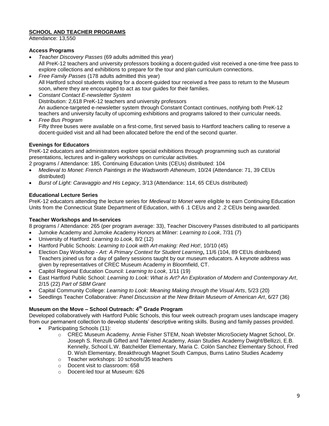# **SCHOOL AND TEACHER PROGRAMS**

Attendance: 13,550

# **Access Programs**

- *Teacher Discovery Passes* (69 adults admitted this year) All PreK-12 teachers and university professors booking a docent-guided visit received a one-time free pass to explore collections and exhibitions to prepare for the tour and plan curriculum connections.
- *Free Family Passes* (178 adults admitted this year) All Hartford school students visiting for a docent-guided tour received a free pass to return to the Museum soon, where they are encouraged to act as tour guides for their families.
- *Constant Contact E-newsletter System* Distribution: 2,618 PreK-12 teachers and university professors An audience-targeted e-newsletter system through Constant Contact continues, notifying both PreK-12 teachers and university faculty of upcoming exhibitions and programs tailored to their curricular needs.
- *Free Bus Program* Fifty three buses were available on a first-come, first served basis to Hartford teachers calling to reserve a docent-guided visit and all had been allocated before the end of the second quarter.

# **Evenings for Educators**

PreK-12 educators and administrators explore special exhibitions through programming such as curatorial presentations, lectures and in-gallery workshops on curricular activities.

2 programs / Attendance: 185, Continuing Education Units (CEUs) distributed: 104

- *Medieval to Monet: French Paintings in the Wadsworth Atheneum*, 10/24 (Attendance: 71, 39 CEUs distributed)
- *Burst of Light: Caravaggio and His Legacy*, 3/13 (Attendance: 114, 65 CEUs distributed)

# **Educational Lecture Series**

PreK-12 educators attending the lecture series for *Medieval to Monet* were eligible to earn Continuing Education Units from the Connecticut State Department of Education, with 6 .1 CEUs and 2 .2 CEUs being awarded.

# **Teacher Workshops and In-services**

8 programs / Attendance: 265 (per program average: 33), Teacher Discovery Passes distributed to all participants

- Jumoke Academy and Jumoke Academy Honors at Milner: *Learning to Look*, 7/31 (7)
- University of Hartford: *Learning to Look,* 8/2 (12)
- Hartford Public Schools: *Learning to Look with Art-making: Red Hot!*, 10/10 (45)
- Election Day Workshop *Art: A Primary Context for Student Learning***,** 11/6 (104, 89 CEUs distributed) Teachers joined us for a day of gallery sessions taught by our museum educators. A keynote address was given by representatives of CREC Museum Academy in Bloomfield, CT.
- Capitol Regional Education Council: *Learning to Look*, 1/11 (19)
- East Hartford Public School: *Learning to Look: What is Art? An Exploration of Modern and Contemporary Art*, 2/15 (22) *Part of SBM Grant*
- Capital Community College: *Learning to Look: Meaning Making through the Visual Arts*, 5/23 (20)
- Seedlings Teacher Collaborative: *Panel Discussion at the New Britain Museum of American Art*, 6/27 (36)

# **Museum on the Move – School Outreach: 4th Grade Program**

Developed collaboratively with Hartford Public Schools, this four week outreach program uses landscape imagery from our permanent collection to develop students' descriptive writing skills. Busing and family passes provided.

- Participating Schools (11):
	- o CREC Museum Academy, Annie Fisher STEM, Noah Webster MicroSociety Magnet School, Dr. Joseph S. Renzulli Gifted and Talented Academy, Asian Studies Academy Dwight/Bellizzi, E.B. Kennelly, School L.W. Batchelder Elementary, Maria C. Colón Sanchez Elementary School, Fred D. Wish Elementary, Breakthrough Magnet South Campus, Burns Latino Studies Academy
	- o Teacher workshops: 10 schools/35 teachers
	- o Docent visit to classroom: 658
	- o Docent-led tour at Museum: 626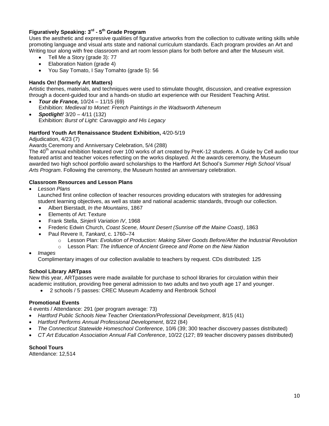# **Figuratively Speaking: 3rd - 5 th Grade Program**

Uses the aesthetic and expressive qualities of figurative artworks from the collection to cultivate writing skills while promoting language and visual arts state and national curriculum standards. Each program provides an Art and Writing tour along with free classroom and art room lesson plans for both before and after the Museum visit.

- Tell Me a Story (grade 3): 77
- Elaboration Nation (grade 4)
- You Say Tomato, I Say Tomahto (grade 5): 56

# **Hands On! (formerly Art Matters)**

Artistic themes, materials, and techniques were used to stimulate thought, discussion, and creative expression through a docent-guided tour and a hands-on studio art experience with our Resident Teaching Artist.

- *Tour de France,* 10/24 11/15 (69) Exhibition: *Medieval to Monet: French Paintings in the Wadsworth Atheneum*
- *Spotlight!* 3/20 4/11 (132) Exhibition: *Burst of Light: Caravaggio and His Legacy*

# **Hartford Youth Art Renaissance Student Exhibition,** 4/20-5/19

Adjudication, 4/23 (7)

Awards Ceremony and Anniversary Celebration, 5/4 (288)

The 40<sup>th</sup> annual exhibition featured over 100 works of art created by PreK-12 students. A Guide by Cell audio tour featured artist and teacher voices reflecting on the works displayed. At the awards ceremony, the Museum awarded two high school portfolio award scholarships to the Hartford Art School's *Summer High School Visual Arts Program*. Following the ceremony, the Museum hosted an anniversary celebration.

# **Classroom Resources and Lesson Plans**

*Lesson Plans*

Launched first online collection of teacher resources providing educators with strategies for addressing student learning objectives, as well as state and national academic standards, through our collection.

- Albert Bierstadt, *In the Mountains*, 1867
- Elements of Art: Texture
- Frank Stella, *Sinjerli Variation IV*, 1968
- Frederic Edwin Church, *Coast Scene, Mount Desert (Sunrise off the Maine Coast)*, 1863
- Paul Revere II, *Tankard*, c. 1760–74
	- o Lesson Plan: *Evolution of Production: Making Silver Goods Before/After the Industrial Revolution*
	- o Lesson Plan: *The Influence of Ancient Greece and Rome on the New Nation*
- *Images*

Complimentary images of our collection available to teachers by request. CDs distributed: 125

# **School Library ARTpass**

New this year, ARTpasses were made available for purchase to school libraries for circulation within their academic institution, providing free general admission to two adults and two youth age 17 and younger.

2 schools / 5 passes: CREC Museum Academy and Renbrook School

## **Promotional Events**

4 events / Attendance: 291 (per program average: 73)

- *Hartford Public Schools New Teacher Orientation/Professional Development*, 8/15 (41)
- *Hartford Performs Annual Professional Development*, 8/22 (84)
- *The Connecticut Statewide Homeschool Conference*, 10/6 (39; 300 teacher discovery passes distributed)
- *CT Art Education Association Annual Fall Conference*, 10/22 (127; 89 teacher discovery passes distributed)

**School Tours** Attendance: 12,514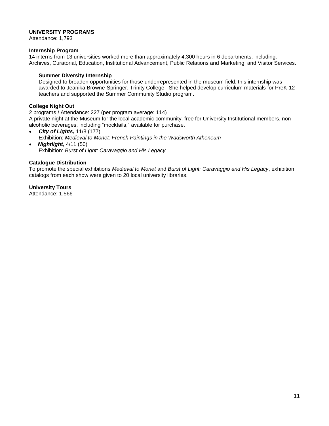## **UNIVERSITY PROGRAMS**

Attendance: 1,793

## **Internship Program**

14 interns from 13 universities worked more than approximately 4,300 hours in 6 departments, including: Archives, Curatorial, Education, Institutional Advancement, Public Relations and Marketing, and Visitor Services.

## **Summer Diversity Internship**

Designed to broaden opportunities for those underrepresented in the museum field, this internship was awarded to Jeanika Browne-Springer, Trinity College. She helped develop curriculum materials for PreK-12 teachers and supported the Summer Community Studio program.

## **College Night Out**

2 programs / Attendance: 227 (per program average: 114) A private night at the Museum for the local academic community, free for University Institutional members, nonalcoholic beverages, including "mocktails," available for purchase.

- *City of Lights***,** 11/8 (177) Exhibition: *Medieval to Monet: French Paintings in the Wadsworth Atheneum*
- *Nightlight***,** 4/11 (50) Exhibition: *Burst of Light: Caravaggio and His Legacy*

## **Catalogue Distribution**

To promote the special exhibitions *Medieval to Monet* and *Burst of Light: Caravaggio and His Legacy*, exhibition catalogs from each show were given to 20 local university libraries.

**University Tours** Attendance: 1,566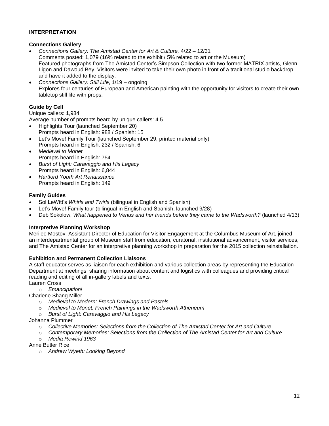# **INTERPRETATION**

## **Connections Gallery**

- *Connections Gallery: The Amistad Center for Art & Culture,* 4/22 12/31 Comments posted: 1,079 (16% related to the exhibit / 5% related to art or the Museum) Featured photographs from The Amistad Center's Simpson Collection with two former MATRIX artists, Glenn Ligon and Dawoud Bey. Visitors were invited to take their own photo in front of a traditional studio backdrop and have it added to the display.
- *Connections Gallery: Still Life*, 1/19 ongoing Explores four centuries of European and American painting with the opportunity for visitors to create their own tabletop still life with props.

# **Guide by Cell**

Unique callers: 1,984

Average number of prompts heard by unique callers: 4.5

- Highlights Tour (launched September 20) Prompts heard in English: 988 / Spanish: 15
- Let's Move! Family Tour (launched September 29, printed material only) Prompts heard in English: 232 / Spanish: 6
- *Medieval to Monet* Prompts heard in English: 754
- *Burst of Light: Caravaggio and His Legacy* Prompts heard in English: 6,844
- *Hartford Youth Art Renaissance* Prompts heard in English: 149

# **Family Guides**

- Sol LeWitt's *Whirls and Twirls* (bilingual in English and Spanish)
- Let's Move! Family tour (bilingual in English and Spanish, launched 9/28)
- Deb Sokolow, *What happened to Venus and her friends before they came to the Wadsworth?* (launched 4/13)

# **Interpretive Planning Workshop**

Merilee Mostov, Assistant Director of Education for Visitor Engagement at the Columbus Museum of Art, joined an interdepartmental group of Museum staff from education, curatorial, institutional advancement, visitor services, and The Amistad Center for an interpretive planning workshop in preparation for the 2015 collection reinstallation.

# **Exhibition and Permanent Collection Liaisons**

A staff educator serves as liaison for each exhibition and various collection areas by representing the Education Department at meetings, sharing information about content and logistics with colleagues and providing critical reading and editing of all in-gallery labels and texts.

Lauren Cross

o *Emancipation!*

Charlene Shang Miller

- o *Medieval to Modern: French Drawings and Pastels*
- o *Medieval to Monet: French Paintings in the Wadsworth Atheneum*
- o *Burst of Light: Caravaggio and His Legacy*

# Johanna Plummer

- o *Collective Memories: Selections from the Collection of The Amistad Center for Art and Culture*
- o *Contemporary Memories: Selections from the Collection of The Amistad Center for Art and Culture* o *Media Rewind 1963*

Anne Butler Rice

o *Andrew Wyeth: Looking Beyond*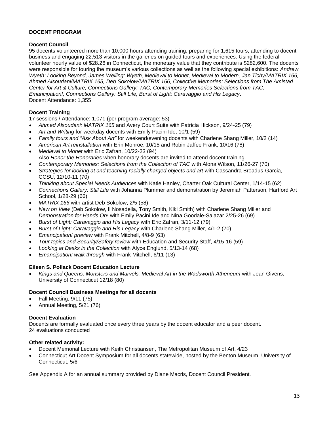# **DOCENT PROGRAM**

# **Docent Council**

95 docents volunteered more than 10,000 hours attending training, preparing for 1,615 tours, attending to docent business and engaging 22,513 visitors in the galleries on guided tours and experiences. Using the federal volunteer hourly value of \$28.26 in Connecticut, the monetary value that they contribute is \$282,600. The docents were responsible for touring the museum's various collections as well as the following special exhibitions: *Andrew Wyeth: Looking Beyond, James Welling: Wyeth, Medieval to Monet, Medieval to Modern, Jan Tichy/MATRIX 166, Ahmed Alsoudani/MATRIX 165, Deb Sokolow/MATRIX 166, Collective Memories: Selections from The Amistad Center for Art & Culture, Connections Gallery: TAC, Contemporary Memories Selections from TAC, Emancipation!, Connections Gallery: Still Life, Burst of Light: Caravaggio and His Legacy*. Docent Attendance: 1,355

# **Docent Training**

17 sessions / Attendance: 1,071 (per program average: 53)

- *Ahmed Alsoudani: MATRIX 165* and Avery Court Suite with Patricia Hickson, 9/24-25 (79)
- *Art and Writing* for weekday docents with Emily Pacini Ide, 10/1 (59)
- *Family tours and "Ask About Art"* for weekend/evening docents with Charlene Shang Miller, 10/2 (14)
- *American Art reinstallation* with Erin Monroe, 10/15 and Robin Jaffee Frank, 10/16 (78)
- *Medieval to Monet* with Eric Zafran, 10/22-23 (94) Also *Honor the Honoraries* when honorary docents are invited to attend docent training.
- *Contemporary Memories: Selections from the Collection of TAC* with Alona Wilson, 11/26-27 (70)
- *Strategies for looking at and teaching racially charged objects and art* with Cassandra Broadus-Garcia, CCSU, 12/10-11 (70)
- *Thinking about Special Needs Audiences* with Katie Hanley, Charter Oak Cultural Center, 1/14-15 (62)
- *Connections Gallery: Still Life* with Johanna Plummer and demonstration by Jeremiah Patterson, Hartford Art School, 1/28-29 (66)
- *MATRIX 166* with artist Deb Sokolow, 2/5 (58)
- *New on View* (Deb Sokolow, Il Nosadella, Tony Smith, Kiki Smith) with Charlene Shang Miller and *Demonstration for Hands On!* with Emily Pacini Ide and Nina Goodale-Salazar 2/25-26 (69)
- *Burst of Light: Caravaggio and His Legacy* with Eric Zafran, 3/11-12 (79)
- *Burst of Light: Caravaggio and His Legacy* with Charlene Shang Miller, 4/1-2 (70)
- *Emancipation! preview* with Frank Mitchell, 4/8-9 (63)
- *Tour topics and Security/Safety review* with Education and Security Staff, 4/15-16 (59)
- *Looking at Desks in the Collection* with Alyce Englund, 5/13-14 (68)
- *Emancipation! walk through* with Frank Mitchell, 6/11 (13)

# **Eileen S. Pollack Docent Education Lecture**

Kings and Queens, Monsters and Marvels: Medieval Art in the Wadsworth Atheneum with Jean Givens, University of Connecticut 12/18 (80)

# **Docent Council Business Meetings for all docents**

- Fall Meeting, 9/11 (75)
- Annual Meeting, 5/21 (76)

# **Docent Evaluation**

Docents are formally evaluated once every three years by the docent educator and a peer docent. 24 evaluations conducted

# **Other related activity:**

- Docent Memorial Lecture with Keith Christiansen, The Metropolitan Museum of Art, 4/23
- Connecticut Art Docent Symposium for all docents statewide, hosted by the Benton Museum, University of Connecticut, 5/6

See Appendix A for an annual summary provided by Diane Macris, Docent Council President.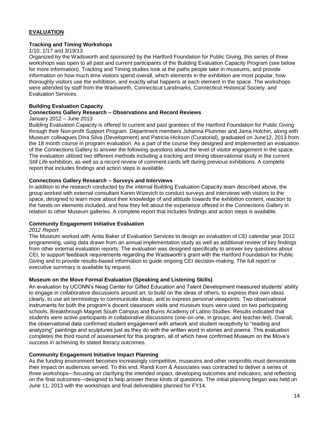# **EVALUATION**

## **Tracking and Timing Workshops**

## 1/10, 1/17 and 3/19/13

Organized by the Wadsworth and sponsored by the Hartford Foundation for Public Giving, this series of three workshops was open to all past and current participants of the Building Evaluation Capacity Program (see below for more information). Tracking and Timing studies look at the paths people take in museums, and provide information on how much time visitors spend overall, which elements in the exhibition are most popular, how thoroughly visitors use the exhibition, and exactly what happens at each element in the space. The workshops were attended by staff from the Wadsworth, Connecticut Landmarks, Connecticut Historical Society, and Evaluation Services.

## **Building Evaluation Capacity**

## **Connections Gallery Research – Observations and Record Reviews**

## January 2012 – June 2013

Building Evaluation Capacity is offered to current and past grantees of the Hartford Foundation for Public Giving through their Non-profit Support Program. Department members Johanna Plummer and Jama Holchin, along with Museum colleagues Dina Silva (Development) and Patricia Hickson (Curatorial), graduated on June12, 2013 from the 18 month course in program evaluation. As a part of the course they designed and implemented an evaluation of the Connections Gallery to answer the following questions about the level of visitor engagement in the space. The evaluation utilized two different methods including a tracking and timing observational study in the current *Still Life* exhibition, as well as a record review of comment cards left during previous exhibitions. A complete report that includes findings and action steps is available.

## **Connections Gallery Research – Surveys and Interviews**

In addition to the research conducted by the internal Building Evaluation Capacity team described above, the group worked with external consultant Karen Wizevich to conduct surveys and interviews with visitors to the space, designed to learn more about their knowledge of and attitude towards the exhibition content, reaction to the hands-on elements included, and how they felt about the experience offered in the Connections Gallery in relation to other Museum galleries. A complete report that includes findings and action steps is available.

## **Community Engagement Initiative Evaluation**

#### *2012 Report*

The Museum worked with Anita Baker of Evaluation Services to design an evaluation of CEI calendar year 2012 programming, using data drawn from an annual implementation study as well as additional review of key findings from other external evaluation reports. The evaluation was designed specifically to answer key questions about CEI, to support feedback requirements regarding the Wadsworth's grant with the Hartford Foundation for Public Giving and to provide results-based information to guide ongoing CEI decision-making. The full report or executive summary is available by request.

## **Museum on the Move Formal Evaluation (Speaking and Listening Skills)**

An evaluation by UCONN's Neag Center for Gifted Education and Talent Development measured students' ability to engage in collaborative discussions around art, to build on the ideas of others, to express their own ideas clearly, to use art terminology to communicate ideas, and to express personal viewpoints. Two observational instruments for both the program's docent classroom visits and museum tours were used on two participating schools, Breakthrough Magnet South Campus and Burns Academy of Latino Studies. Results indicated that students were active participants in collaborative discussions (one-on-one, in groups, and teacher-led). Overall, the observational data confirmed student engagement with artwork and student receptivity to "reading and analyzing" paintings and sculptures just as they do with the written word in stories and poems. This evaluation completes the third round of assessment for this program, all of which have confirmed Museum on the Move's success in achieving its stated literacy outcomes.

## **Community Engagement Initiative Impact Planning**

As the funding environment becomes increasingly competitive, museums and other nonprofits must demonstrate their impact on audiences served. To this end, Randi Korn & Associates was contracted to deliver a series of three workshops—focusing on clarifying the intended impact, developing outcomes and indicators, and reflecting on the final outcomes—designed to help answer these kinds of questions. The initial planning began was held on June 11, 2013 with the workshops and final deliverables planned for FY14.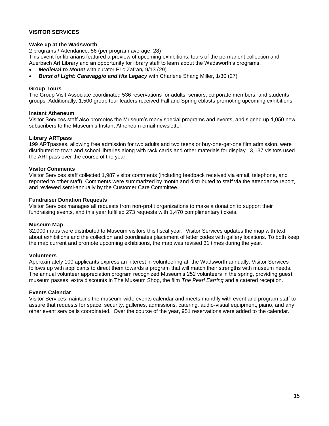# **VISITOR SERVICES**

## **Wake up at the Wadsworth**

2 programs / Attendance: 56 (per program average: 28) This event for librarians featured a preview of upcoming exhibitions, tours of the permanent collection and Auerbach Art Library and an opportunity for library staff to learn about the Wadsworth's programs.

- *Medieval to Monet* with curator Eric Zafran*,* 9/13 (29)
- *Burst of Light: Caravaggio and His Legacy* with Charlene Shang Miller*,* 1/30 (27)

## **Group Tours**

The Group Visit Associate coordinated 536 reservations for adults, seniors, corporate members, and students groups. Additionally, 1,500 group tour leaders received Fall and Spring eblasts promoting upcoming exhibitions.

## **Instant Atheneum**

Visitor Services staff also promotes the Museum's many special programs and events, and signed up 1,050 new subscribers to the Museum's Instant Atheneum email newsletter.

## **Library ARTpass**

199 ARTpasses, allowing free admission for two adults and two teens or buy-one-get-one film admission, were distributed to town and school libraries along with rack cards and other materials for display. 3,137 visitors used the ARTpass over the course of the year.

## **Visitor Comments**

Visitor Services staff collected 1,987 visitor comments (including feedback received via email, telephone, and reported to other staff). Comments were summarized by month and distributed to staff via the attendance report, and reviewed semi-annually by the Customer Care Committee.

## **Fundraiser Donation Requests**

Visitor Services manages all requests from non-profit organizations to make a donation to support their fundraising events, and this year fulfilled 273 requests with 1,470 complimentary tickets.

## **Museum Map**

32,000 maps were distributed to Museum visitors this fiscal year. Visitor Services updates the map with text about exhibitions and the collection and coordinates placement of letter codes with gallery locations. To both keep the map current and promote upcoming exhibitions, the map was revised 31 times during the year.

## **Volunteers**

Approximately 100 applicants express an interest in volunteering at the Wadsworth annually. Visitor Services follows up with applicants to direct them towards a program that will match their strengths with museum needs. The annual volunteer appreciation program recognized Museum's 252 volunteers in the spring, providing guest museum passes, extra discounts in The Museum Shop, the film *The Pearl Earring* and a catered reception.

## **Events Calendar**

Visitor Services maintains the museum-wide events calendar and meets monthly with event and program staff to assure that requests for space, security, galleries, admissions, catering, audio-visual equipment, piano, and any other event service is coordinated. Over the course of the year, 951 reservations were added to the calendar.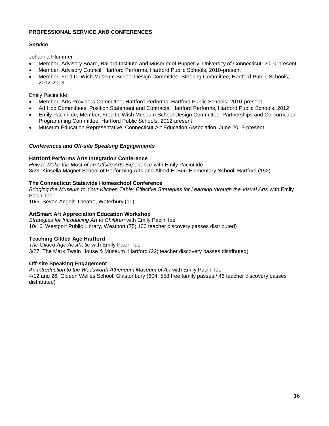# **PROFESSIONAL SERVICE AND CONFERENCES**

# *Service*

Johanna Plummer

- Member, Advisory Board, Ballard Institute and Museum of Puppetry, University of Connecticut, 2010-present
- Member, Advisory Council, Hartford Performs, Hartford Public Schools, 2010-present
- Member, Fred D. Wish Museum School Design Committee, Steering Committee, Hartford Public Schools, 2012-2013

Emily Pacini Ide

- Member, Arts Providers Committee, Hartford Performs, Hartford Public Schools, 2010-present
- Ad Hoc Committees: Position Statement and Contracts, Hartford Performs, Hartford Public Schools, 2012
- Emily Pacini Ide, Member, Fred D. Wish Museum School Design Committee, Partnerships and Co-curricular Programming Committee, Hartford Public Schools, 2012-present
- Museum Education Representative, Connecticut Art Education Association, June 2013-present

# *Conferences and Off-site Speaking Engagements*

# **Hartford Performs Arts Integration Conference**

*How to Make the Most of an Offsite Arts Experience* with Emily Pacini Ide 8/23, Kinsella Magnet School of Performing Arts and Alfred E. Burr Elementary School, Hartford (152)

# **The Connecticut Statewide Homeschool Conference**

*Bringing the Museum to Your Kitchen Table: Effective Strategies for Learning through the Visual Arts* with Emily Pacini Ide

10/6, Seven Angels Theatre, Waterbury (10)

# **ArtSmart Art Appreciation Education Workshop**

*Strategies for Introducing Art to Children* with Emily Pacini Ide 10/16, Westport Public Library, Westport (75; 100 teacher discovery passes distributed)

# **Teaching Gilded Age Hartford**

*The Gilded Age Aesthetic* with Emily Pacini Ide 3/27, The Mark Twain House & Museum, Hartford (22; teacher discovery passes distributed)

# **Off-site Speaking Engagement**

*An Introduction to the Wadsworth Atheneum Museum of Art* with Emily Pacini Ide 4/12 and 26, Gideon Welles School, Glastonbury (604; 558 free family passes / 46 teacher discovery passes distributed)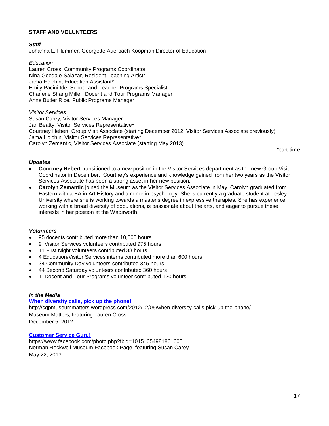## **STAFF AND VOLUNTEERS**

## *Staff*

Johanna L. Plummer, Georgette Auerbach Koopman Director of Education

*Education*

Lauren Cross, Community Programs Coordinator Nina Goodale-Salazar, Resident Teaching Artist\* Jama Holchin, Education Assistant\* Emily Pacini Ide, School and Teacher Programs Specialist Charlene Shang Miller, Docent and Tour Programs Manager Anne Butler Rice, Public Programs Manager

*Visitor Services*

Susan Carey, Visitor Services Manager Jan Beatty, Visitor Services Representative\* Courtney Hebert, Group Visit Associate (starting December 2012, Visitor Services Associate previously) Jama Holchin, Visitor Services Representative\* Carolyn Zemantic, Visitor Services Associate (starting May 2013)

\*part-time

## *Updates*

- **Courtney Hebert** transitioned to a new position in the Visitor Services department as the new Group Visit Coordinator in December. Courtney's experience and knowledge gained from her two years as the Visitor Services Associate has been a strong asset in her new position.
- **Carolyn Zemantic** joined the Museum as the Visitor Services Associate in May. Carolyn graduated from Eastern with a BA in Art History and a minor in psychology. She is currently a graduate student at Lesley University where she is working towards a master's degree in expressive therapies. She has experience working with a broad diversity of populations, is passionate about the arts, and eager to pursue these interests in her position at the Wadsworth.

## *Volunteers*

- 95 docents contributed more than 10,000 hours
- 9 Visitor Services volunteers contributed 975 hours
- 11 First Night volunteers contributed 38 hours
- 4 Education/Visitor Services interns contributed more than 600 hours
- 34 Community Day volunteers contributed 345 hours
- 44 Second Saturday volunteers contributed 360 hours
- 1 Docent and Tour Programs volunteer contributed 120 hours

#### *In the Media*

## **[When diversity calls, pick up the phone!](http://cgpmuseummatters.wordpress.com/2012/12/05/when-diversity-calls-pick-up-the-phone/)**

http://cgpmuseummatters.wordpress.com/2012/12/05/when-diversity-calls-pick-up-the-phone/ Museum Matters, featuring Lauren Cross December 5, 2012

## **[Customer Service Guru!](https://www.facebook.com/photo.php?fbid=10151654981861605)**

https://www.facebook.com/photo.php?fbid=10151654981861605 Norman Rockwell Museum Facebook Page, featuring Susan Carey May 22, 2013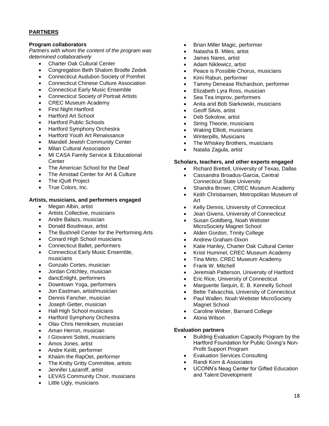# **PARTNERS**

## **Program collaborators**

*Partners with whom the content of the program was determined collaboratively*

- Charter Oak Cultural Center
- Congregation Beth Shalom Brodfe Zedek
- Connecticut Audubon Society of Pomfret
- Connecticut Chinese Culture Association
- Connecticut Early Music Ensemble
- Connecticut Society of Portrait Artists
- CREC Museum Academy
- First Night Hartford
- Hartford Art School
- Hartford Public Schools
- Hartford Symphony Orchestra
- Hartford Youth Art Renaissance
- Mandell Jewish Community Center
- Milan Cultural Association
- MI CASA Family Service & Educational **Center**
- The American School for the Deaf
- The Amistad Center for Art & Culture
- The iQuilt Project
- True Colors, Inc.

# **Artists, musicians, and performers engaged**

- Megan Albin, artist
- Artists Collective, musicians
- Andre Balazs, musician
- Donald Boudreaux, artist
- The Bushnell Center for the Performing Arts
- Conard High School musicians
- Connecticut Ballet, performers
- Connecticut Early Music Ensemble, musicians
- Gonzalo Cortes, musician
- Jordan Critchley, musician
- dancEnlight, performers
- Downtown Yoga, performers
- Jon Eastman, artist/musician
- Dennis Fancher, musician
- Joseph Getter, musician
- Hall High School musicians
- Hartford Symphony Orchestra
- Olav Chris Henriksen, musician
- Aman Herron, musician
- I Giovanni Solisti, musicians
- Amos Jones, artist
- Andre Keiitt, performer
- Khaiim the RapOet, performer
- The Knitty Gritty Committee, artists
- Jennifer Lazaroff, artist
- LEVAS Community Choir, musicians
- Little Ugly, musicians
- Brian Miller Magic, performer
- Natasha B. Miles, artist
- James Nares, artist
- Adam Niklewicz, artist
- Peace is Possible Chorus, musicians
- Kimi Rabun, performer
- Tammy Denease Richardson, performer
- Elizabeth Lyra Ross, musician
- Sea Tea Improv, performers
- Anita and Bob Siarkowski, musicians
- Geoff Silvis, artist
- Deb Sokolow, artist
- String Theorie, musicians
- Waking Elliott, musicians
- Winterpills, Musicians
- The Whiskey Brothers, musicians
- Natalia Zagula, artist

## **Scholars, teachers, and other experts engaged**

- Richard Brettell, University of Texas, Dallas
- Cassandra Broadus-Garcia, Central Connecticut State University
- Shandra Brown, CREC Museum Academy
- Keith Christiansen, Metropolitan Museum of Art
- Kelly Dennis, University of Connecticut
- Jean Givens, University of Connecticut
- Susan Goldberg, Noah Webster MicroSociety Magnet School
- Alden Gordon, Trinity College
- Andrew Graham-Dixon
- Katie Hanley, Charter Oak Cultural Center
- Kristi Hummel, CREC Museum Academy
- Tina Mirto, CREC Museum Academy
- Frank W. Mitchell
- Jeremiah Patterson, University of Hartford
- **Eric Rice, University of Connecticut**
- Marguerite Sequin, E. B. Kennelly School
- **Bette Talvacchia, University of Connecticut** • Paul Wallen, Noah Webster MicroSociety
- Magnet School
- Caroline Weber, Barnard College
- Alona Wilson

# **Evaluation partners**

- **•** Building Evaluation Capacity Program by the Hartford Foundation for Public Giving's Non-Profit Support Program
- Evaluation Services Consulting
- Randi Korn & Associates
- UCONN's Neag Center for Gifted Education and Talent Development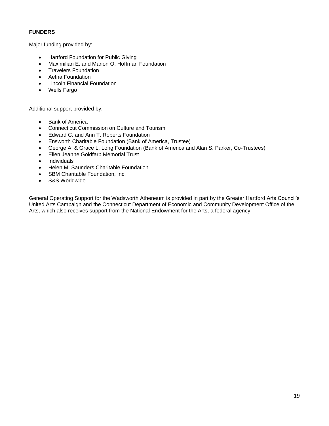# **FUNDERS**

Major funding provided by:

- Hartford Foundation for Public Giving
- Maximilian E. and Marion O. Hoffman Foundation
- **•** Travelers Foundation
- Aetna Foundation
- Lincoln Financial Foundation
- Wells Fargo

Additional support provided by:

- Bank of America
- Connecticut Commission on Culture and Tourism
- Edward C. and Ann T. Roberts Foundation
- Ensworth Charitable Foundation (Bank of America, Trustee)
- George A. & Grace L. Long Foundation (Bank of America and Alan S. Parker, Co-Trustees)
- Ellen Jeanne Goldfarb Memorial Trust
- Individuals
- Helen M. Saunders Charitable Foundation
- SBM Charitable Foundation, Inc.
- S&S Worldwide

General Operating Support for the Wadsworth Atheneum is provided in part by the Greater Hartford Arts Council's United Arts Campaign and the Connecticut Department of Economic and Community Development Office of the Arts, which also receives support from the National Endowment for the Arts, a federal agency.